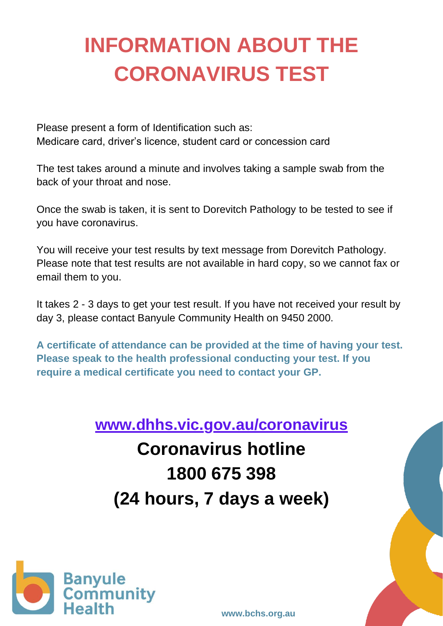## **INFORMATION ABOUT THE CORONAVIRUS TEST**

Please present a form of Identification such as: Medicare card, driver's licence, student card or concession card

The test takes around a minute and involves taking a sample swab from the back of your throat and nose.

Once the swab is taken, it is sent to Dorevitch Pathology to be tested to see if you have coronavirus.

You will receive your test results by text message from Dorevitch Pathology. Please note that test results are not available in hard copy, so we cannot fax or email them to you.

It takes 2 - 3 days to get your test result. If you have not received your result by day 3, please contact Banyule Community Health on 9450 2000.

**A certificate of attendance can be provided at the time of having your test. Please speak to the health professional conducting your test. If you require a medical certificate you need to contact your GP.**

**[www.dhhs.vic.gov.au/coronavirus](http://www.dhhs.vic.gov.au/coronavirus)**

**Coronavirus hotline 1800 675 398 (24 hours, 7 days a week)**



**[www.bchs.org.au](http://www.bchs.org.au/)**